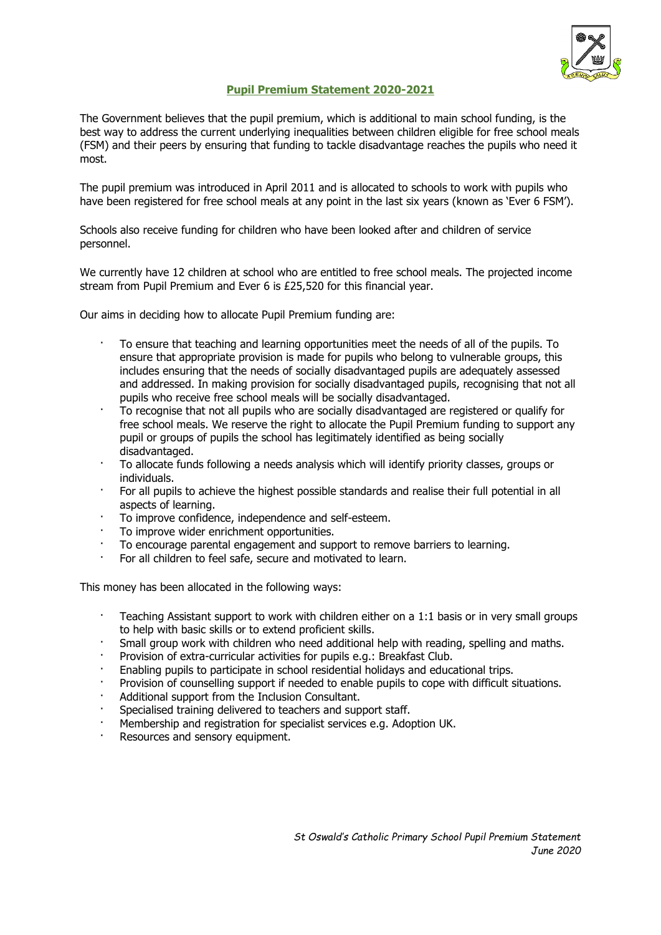

## **Pupil Premium Statement 2020-2021**

The Government believes that the pupil premium, which is additional to main school funding, is the best way to address the current underlying inequalities between children eligible for free school meals (FSM) and their peers by ensuring that funding to tackle disadvantage reaches the pupils who need it most.

The pupil premium was introduced in April 2011 and is allocated to schools to work with pupils who have been registered for free school meals at any point in the last six years (known as 'Ever 6 FSM').

Schools also receive funding for children who have been looked after and children of service personnel.

We currently have 12 children at school who are entitled to free school meals. The projected income stream from Pupil Premium and Ever 6 is £25,520 for this financial year.

Our aims in deciding how to allocate Pupil Premium funding are:

- · To ensure that teaching and learning opportunities meet the needs of all of the pupils. To ensure that appropriate provision is made for pupils who belong to vulnerable groups, this includes ensuring that the needs of socially disadvantaged pupils are adequately assessed and addressed. In making provision for socially disadvantaged pupils, recognising that not all pupils who receive free school meals will be socially disadvantaged.
- · To recognise that not all pupils who are socially disadvantaged are registered or qualify for free school meals. We reserve the right to allocate the Pupil Premium funding to support any pupil or groups of pupils the school has legitimately identified as being socially disadvantaged.
- · To allocate funds following a needs analysis which will identify priority classes, groups or individuals.
- For all pupils to achieve the highest possible standards and realise their full potential in all aspects of learning.
- · To improve confidence, independence and self-esteem.
- To improve wider enrichment opportunities.
- · To encourage parental engagement and support to remove barriers to learning.
- For all children to feel safe, secure and motivated to learn.

This money has been allocated in the following ways:

- · Teaching Assistant support to work with children either on a 1:1 basis or in very small groups to help with basic skills or to extend proficient skills.
- · Small group work with children who need additional help with reading, spelling and maths.
- Provision of extra-curricular activities for pupils e.g.: Breakfast Club.
- · Enabling pupils to participate in school residential holidays and educational trips.
- · Provision of counselling support if needed to enable pupils to cope with difficult situations.
- Additional support from the Inclusion Consultant.
- Specialised training delivered to teachers and support staff.
- · Membership and registration for specialist services e.g. Adoption UK.
- Resources and sensory equipment.